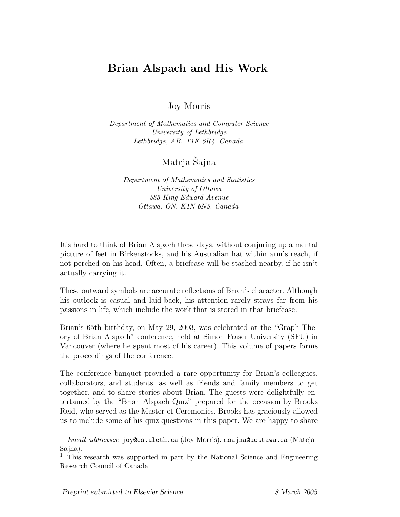# Brian Alspach and His Work

Joy Morris

Department of Mathematics and Computer Science University of Lethbridge Lethbridge, AB. T1K 6R4. Canada

Mateja Sajna ˇ

Department of Mathematics and Statistics University of Ottawa 585 King Edward Avenue Ottawa, ON. K1N 6N5. Canada

It's hard to think of Brian Alspach these days, without conjuring up a mental picture of feet in Birkenstocks, and his Australian hat within arm's reach, if not perched on his head. Often, a briefcase will be stashed nearby, if he isn't actually carrying it.

These outward symbols are accurate reflections of Brian's character. Although his outlook is casual and laid-back, his attention rarely strays far from his passions in life, which include the work that is stored in that briefcase.

Brian's 65th birthday, on May 29, 2003, was celebrated at the "Graph Theory of Brian Alspach" conference, held at Simon Fraser University (SFU) in Vancouver (where he spent most of his career). This volume of papers forms the proceedings of the conference.

The conference banquet provided a rare opportunity for Brian's colleagues, collaborators, and students, as well as friends and family members to get together, and to share stories about Brian. The guests were delightfully entertained by the "Brian Alspach Quiz" prepared for the occasion by Brooks Reid, who served as the Master of Ceremonies. Brooks has graciously allowed us to include some of his quiz questions in this paper. We are happy to share

Email addresses: joy@cs.uleth.ca (Joy Morris), msajna@uottawa.ca (Mateja  $\text{Sajna}$ ).

<sup>1</sup> This research was supported in part by the National Science and Engineering Research Council of Canada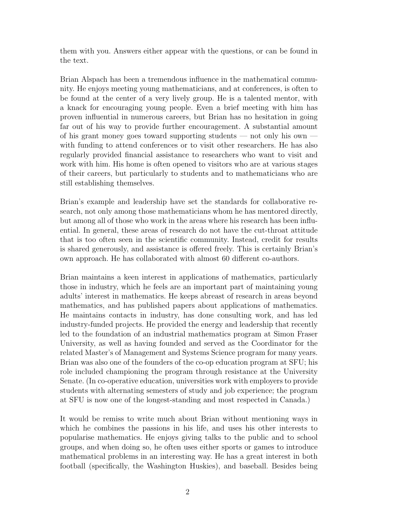them with you. Answers either appear with the questions, or can be found in the text.

Brian Alspach has been a tremendous influence in the mathematical community. He enjoys meeting young mathematicians, and at conferences, is often to be found at the center of a very lively group. He is a talented mentor, with a knack for encouraging young people. Even a brief meeting with him has proven influential in numerous careers, but Brian has no hesitation in going far out of his way to provide further encouragement. A substantial amount of his grant money goes toward supporting students — not only his own with funding to attend conferences or to visit other researchers. He has also regularly provided financial assistance to researchers who want to visit and work with him. His home is often opened to visitors who are at various stages of their careers, but particularly to students and to mathematicians who are still establishing themselves.

Brian's example and leadership have set the standards for collaborative research, not only among those mathematicians whom he has mentored directly, but among all of those who work in the areas where his research has been influential. In general, these areas of research do not have the cut-throat attitude that is too often seen in the scientific community. Instead, credit for results is shared generously, and assistance is offered freely. This is certainly Brian's own approach. He has collaborated with almost 60 different co-authors.

Brian maintains a keen interest in applications of mathematics, particularly those in industry, which he feels are an important part of maintaining young adults' interest in mathematics. He keeps abreast of research in areas beyond mathematics, and has published papers about applications of mathematics. He maintains contacts in industry, has done consulting work, and has led industry-funded projects. He provided the energy and leadership that recently led to the foundation of an industrial mathematics program at Simon Fraser University, as well as having founded and served as the Coordinator for the related Master's of Management and Systems Science program for many years. Brian was also one of the founders of the co-op education program at SFU; his role included championing the program through resistance at the University Senate. (In co-operative education, universities work with employers to provide students with alternating semesters of study and job experience; the program at SFU is now one of the longest-standing and most respected in Canada.)

It would be remiss to write much about Brian without mentioning ways in which he combines the passions in his life, and uses his other interests to popularise mathematics. He enjoys giving talks to the public and to school groups, and when doing so, he often uses either sports or games to introduce mathematical problems in an interesting way. He has a great interest in both football (specifically, the Washington Huskies), and baseball. Besides being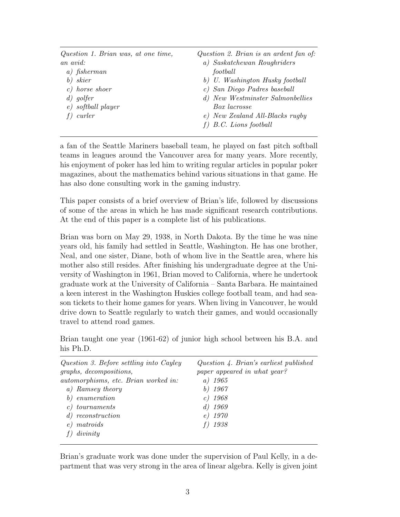| Question 1. Brian was, at one time, | Question 2. Brian is an ardent fan of: |
|-------------------------------------|----------------------------------------|
| an avid:                            | a) Saskatchewan Roughriders            |
| a) fisherman                        | football                               |
| b) skier                            | b) U. Washington Husky football        |
| $c)$ horse shoer                    | c) San Diego Padres baseball           |
| $d)$ golfer                         | d) New Westminster Salmonbellies       |
| e) softball player                  | <i>Box lacrosse</i>                    |
| curler                              | e) New Zealand All-Blacks rugby        |
|                                     | $f)$ B.C. Lions football               |
|                                     |                                        |

a fan of the Seattle Mariners baseball team, he played on fast pitch softball teams in leagues around the Vancouver area for many years. More recently, his enjoyment of poker has led him to writing regular articles in popular poker magazines, about the mathematics behind various situations in that game. He has also done consulting work in the gaming industry.

This paper consists of a brief overview of Brian's life, followed by discussions of some of the areas in which he has made significant research contributions. At the end of this paper is a complete list of his publications.

Brian was born on May 29, 1938, in North Dakota. By the time he was nine years old, his family had settled in Seattle, Washington. He has one brother, Neal, and one sister, Diane, both of whom live in the Seattle area, where his mother also still resides. After finishing his undergraduate degree at the University of Washington in 1961, Brian moved to California, where he undertook graduate work at the University of California – Santa Barbara. He maintained a keen interest in the Washington Huskies college football team, and had season tickets to their home games for years. When living in Vancouver, he would drive down to Seattle regularly to watch their games, and would occasionally travel to attend road games.

Brian taught one year (1961-62) of junior high school between his B.A. and his Ph.D.

| Question 3. Before settling into Cayley<br><i>graphs</i> , <i>decompositions</i> , | Question 4. Brian's earliest published<br>paper appeared in what year? |
|------------------------------------------------------------------------------------|------------------------------------------------------------------------|
| automorphisms, etc. Brian worked in:                                               | a) 1965                                                                |
| a) Ramsey theory                                                                   | b) 1967                                                                |
| b) enumeration                                                                     | c) 1968                                                                |
| $c)$ tournaments                                                                   | d) 1969                                                                |
| d) reconstruction                                                                  | e) 1970                                                                |
| matroids<br>e <sub>l</sub>                                                         | $f)$ 1938                                                              |
| divinity                                                                           |                                                                        |

Brian's graduate work was done under the supervision of Paul Kelly, in a department that was very strong in the area of linear algebra. Kelly is given joint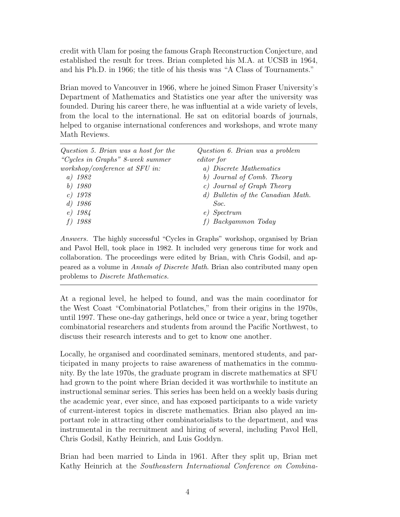credit with Ulam for posing the famous Graph Reconstruction Conjecture, and established the result for trees. Brian completed his M.A. at UCSB in 1964, and his Ph.D. in 1966; the title of his thesis was "A Class of Tournaments."

Brian moved to Vancouver in 1966, where he joined Simon Fraser University's Department of Mathematics and Statistics one year after the university was founded. During his career there, he was influential at a wide variety of levels, from the local to the international. He sat on editorial boards of journals, helped to organise international conferences and workshops, and wrote many Math Reviews.

| Question 5. Brian was a host for the<br>"Cycles in Graphs" 8-week summer | Question 6. Brian was a problem<br><i>editor</i> for |
|--------------------------------------------------------------------------|------------------------------------------------------|
| $workshop/conference \textit{at}$ SFU in:                                | a) Discrete Mathematics                              |
| a) 1982                                                                  | b) Journal of Comb. Theory                           |
| b) 1980                                                                  | c) Journal of Graph Theory                           |
| c) $1978$                                                                | d) Bulletin of the Canadian Math.                    |
| d) 1986                                                                  | Soc.                                                 |
| e) 1984                                                                  | $e)$ Spectrum                                        |
| f) 1988                                                                  | f) Backgammon Today                                  |
|                                                                          |                                                      |

Answers. The highly successful "Cycles in Graphs" workshop, organised by Brian and Pavol Hell, took place in 1982. It included very generous time for work and collaboration. The proceedings were edited by Brian, with Chris Godsil, and appeared as a volume in Annals of Discrete Math. Brian also contributed many open problems to Discrete Mathematics.

At a regional level, he helped to found, and was the main coordinator for the West Coast "Combinatorial Potlatches," from their origins in the 1970s, until 1997. These one-day gatherings, held once or twice a year, bring together combinatorial researchers and students from around the Pacific Northwest, to discuss their research interests and to get to know one another.

Locally, he organised and coordinated seminars, mentored students, and participated in many projects to raise awareness of mathematics in the community. By the late 1970s, the graduate program in discrete mathematics at SFU had grown to the point where Brian decided it was worthwhile to institute an instructional seminar series. This series has been held on a weekly basis during the academic year, ever since, and has exposed participants to a wide variety of current-interest topics in discrete mathematics. Brian also played an important role in attracting other combinatorialists to the department, and was instrumental in the recruitment and hiring of several, including Pavol Hell, Chris Godsil, Kathy Heinrich, and Luis Goddyn.

Brian had been married to Linda in 1961. After they split up, Brian met Kathy Heinrich at the Southeastern International Conference on Combina-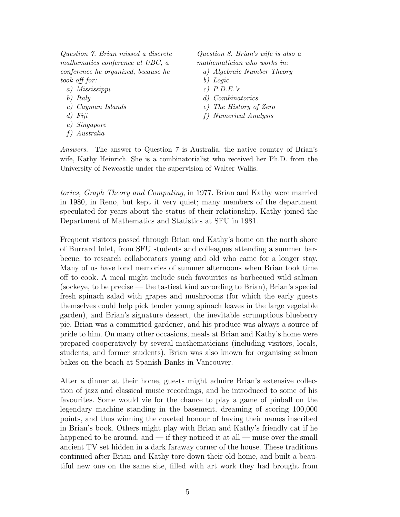| Question 7. Brian missed a discrete | Question 8. Brian's wife is also a |
|-------------------------------------|------------------------------------|
| mathematics conference at UBC, a    | mathematician who works in:        |
| conference he organized, because he | a) Algebraic Number Theory         |
| took off for:                       | b) Logic                           |
| a) Mississippi                      | c) $P.D.E.'s$                      |
| b) Italy                            | d) Combinatorics                   |
| $c)$ Cayman Islands                 | e) The History of Zero             |
| Fixii                               | f) Numerical Analysis              |
| e) Singapore                        |                                    |
| Australia                           |                                    |
|                                     |                                    |

Answers. The answer to Question 7 is Australia, the native country of Brian's wife, Kathy Heinrich. She is a combinatorialist who received her Ph.D. from the University of Newcastle under the supervision of Walter Wallis.

torics, Graph Theory and Computing, in 1977. Brian and Kathy were married in 1980, in Reno, but kept it very quiet; many members of the department speculated for years about the status of their relationship. Kathy joined the Department of Mathematics and Statistics at SFU in 1981.

Frequent visitors passed through Brian and Kathy's home on the north shore of Burrard Inlet, from SFU students and colleagues attending a summer barbecue, to research collaborators young and old who came for a longer stay. Many of us have fond memories of summer afternoons when Brian took time off to cook. A meal might include such favourites as barbecued wild salmon (sockeye, to be precise — the tastiest kind according to Brian), Brian's special fresh spinach salad with grapes and mushrooms (for which the early guests themselves could help pick tender young spinach leaves in the large vegetable garden), and Brian's signature dessert, the inevitable scrumptious blueberry pie. Brian was a committed gardener, and his produce was always a source of pride to him. On many other occasions, meals at Brian and Kathy's home were prepared cooperatively by several mathematicians (including visitors, locals, students, and former students). Brian was also known for organising salmon bakes on the beach at Spanish Banks in Vancouver.

After a dinner at their home, guests might admire Brian's extensive collection of jazz and classical music recordings, and be introduced to some of his favourites. Some would vie for the chance to play a game of pinball on the legendary machine standing in the basement, dreaming of scoring 100,000 points, and thus winning the coveted honour of having their names inscribed in Brian's book. Others might play with Brian and Kathy's friendly cat if he happened to be around, and  $-$  if they noticed it at all  $-$  muse over the small ancient TV set hidden in a dark faraway corner of the house. These traditions continued after Brian and Kathy tore down their old home, and built a beautiful new one on the same site, filled with art work they had brought from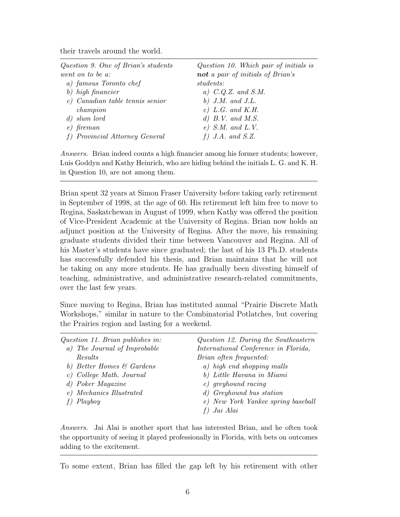their travels around the world.

| Question 9. One of Brian's students | Question 10. Which pair of initials is |
|-------------------------------------|----------------------------------------|
| went on to be a:                    | not a pair of initials of Brian's      |
| a) famous Toronto chef              | students:                              |
| b) high financier                   | a) $C.Q.Z.$ and $S.M.$                 |
| $c)$ Canadian table tennis senior   | $b)$ J.M. and J.L.                     |
| champion                            | c) $L.G.$ and $K.H.$                   |
| d) slum lord                        | d) $B.V.$ and $M.S.$                   |
| $e)$ fireman                        | $e)$ S.M. and L.V.                     |
| f) Provincial Attorney General      | $f)$ J.A. and S.Z.                     |

Answers. Brian indeed counts a high financier among his former students; however, Luis Goddyn and Kathy Heinrich, who are hiding behind the initials L. G. and K. H. in Question 10, are not among them.

Brian spent 32 years at Simon Fraser University before taking early retirement in September of 1998, at the age of 60. His retirement left him free to move to Regina, Saskatchewan in August of 1999, when Kathy was offered the position of Vice-President Academic at the University of Regina. Brian now holds an adjunct position at the University of Regina. After the move, his remaining graduate students divided their time between Vancouver and Regina. All of his Master's students have since graduated; the last of his 13 Ph.D. students has successfully defended his thesis, and Brian maintains that he will not be taking on any more students. He has gradually been divesting himself of teaching, administrative, and administrative research-related commitments, over the last few years.

Since moving to Regina, Brian has instituted annual "Prairie Discrete Math Workshops," similar in nature to the Combinatorial Potlatches, but covering the Prairies region and lasting for a weekend.

| Question 11. Brian publishes in: | Question 12. During the Southeastern |
|----------------------------------|--------------------------------------|
| a) The Journal of Improbable     | International Conference in Florida, |
| Results                          | Brian often frequented:              |
| b) Better Homes & Gardens        | a) high end shopping malls           |
| $c)$ College Math. Journal       | b) Little Havana in Miami            |
| d) Poker Magazine                | c) greyhound racing                  |
| e) Mechanics Illustrated         | d) Greyhound bus station             |
| f) Playboy                       | e) New York Yankee spring baseball   |
|                                  | Jai Alai                             |

Answers. Jai Alai is another sport that has interested Brian, and he often took the opportunity of seeing it played professionally in Florida, with bets on outcomes adding to the excitement.

To some extent, Brian has filled the gap left by his retirement with other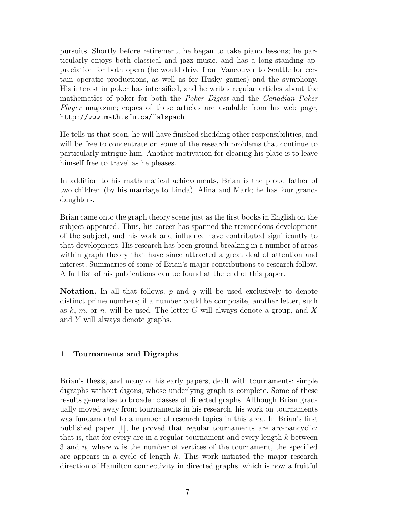pursuits. Shortly before retirement, he began to take piano lessons; he particularly enjoys both classical and jazz music, and has a long-standing appreciation for both opera (he would drive from Vancouver to Seattle for certain operatic productions, as well as for Husky games) and the symphony. His interest in poker has intensified, and he writes regular articles about the mathematics of poker for both the Poker Digest and the Canadian Poker Player magazine; copies of these articles are available from his web page, http://www.math.sfu.ca/~alspach.

He tells us that soon, he will have finished shedding other responsibilities, and will be free to concentrate on some of the research problems that continue to particularly intrigue him. Another motivation for clearing his plate is to leave himself free to travel as he pleases.

In addition to his mathematical achievements, Brian is the proud father of two children (by his marriage to Linda), Alina and Mark; he has four granddaughters.

Brian came onto the graph theory scene just as the first books in English on the subject appeared. Thus, his career has spanned the tremendous development of the subject, and his work and influence have contributed significantly to that development. His research has been ground-breaking in a number of areas within graph theory that have since attracted a great deal of attention and interest. Summaries of some of Brian's major contributions to research follow. A full list of his publications can be found at the end of this paper.

**Notation.** In all that follows,  $p$  and  $q$  will be used exclusively to denote distinct prime numbers; if a number could be composite, another letter, such as k, m, or n, will be used. The letter G will always denote a group, and X and Y will always denote graphs.

# 1 Tournaments and Digraphs

Brian's thesis, and many of his early papers, dealt with tournaments: simple digraphs without digons, whose underlying graph is complete. Some of these results generalise to broader classes of directed graphs. Although Brian gradually moved away from tournaments in his research, his work on tournaments was fundamental to a number of research topics in this area. In Brian's first published paper [1], he proved that regular tournaments are arc-pancyclic: that is, that for every arc in a regular tournament and every length  $k$  between 3 and n, where n is the number of vertices of the tournament, the specified arc appears in a cycle of length k. This work initiated the major research direction of Hamilton connectivity in directed graphs, which is now a fruitful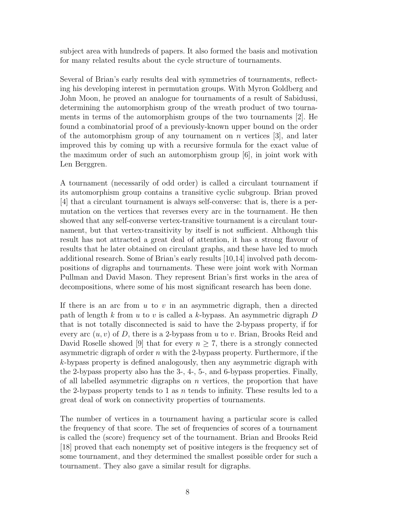subject area with hundreds of papers. It also formed the basis and motivation for many related results about the cycle structure of tournaments.

Several of Brian's early results deal with symmetries of tournaments, reflecting his developing interest in permutation groups. With Myron Goldberg and John Moon, he proved an analogue for tournaments of a result of Sabidussi, determining the automorphism group of the wreath product of two tournaments in terms of the automorphism groups of the two tournaments [2]. He found a combinatorial proof of a previously-known upper bound on the order of the automorphism group of any tournament on n vertices  $|3|$ , and later improved this by coming up with a recursive formula for the exact value of the maximum order of such an automorphism group [6], in joint work with Len Berggren.

A tournament (necessarily of odd order) is called a circulant tournament if its automorphism group contains a transitive cyclic subgroup. Brian proved [4] that a circulant tournament is always self-converse: that is, there is a permutation on the vertices that reverses every arc in the tournament. He then showed that any self-converse vertex-transitive tournament is a circulant tournament, but that vertex-transitivity by itself is not sufficient. Although this result has not attracted a great deal of attention, it has a strong flavour of results that he later obtained on circulant graphs, and these have led to much additional research. Some of Brian's early results [10,14] involved path decompositions of digraphs and tournaments. These were joint work with Norman Pullman and David Mason. They represent Brian's first works in the area of decompositions, where some of his most significant research has been done.

If there is an arc from  $u$  to  $v$  in an asymmetric digraph, then a directed path of length k from u to v is called a k-bypass. An asymmetric digraph  $D$ that is not totally disconnected is said to have the 2-bypass property, if for every arc  $(u, v)$  of D, there is a 2-bypass from u to v. Brian, Brooks Reid and David Roselle showed [9] that for every  $n \geq 7$ , there is a strongly connected asymmetric digraph of order  $n$  with the 2-bypass property. Furthermore, if the k-bypass property is defined analogously, then any asymmetric digraph with the 2-bypass property also has the 3-, 4-, 5-, and 6-bypass properties. Finally, of all labelled asymmetric digraphs on  $n$  vertices, the proportion that have the 2-bypass property tends to 1 as n tends to infinity. These results led to a great deal of work on connectivity properties of tournaments.

The number of vertices in a tournament having a particular score is called the frequency of that score. The set of frequencies of scores of a tournament is called the (score) frequency set of the tournament. Brian and Brooks Reid [18] proved that each nonempty set of positive integers is the frequency set of some tournament, and they determined the smallest possible order for such a tournament. They also gave a similar result for digraphs.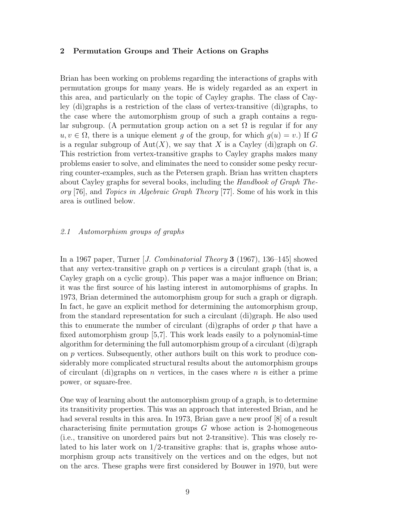## 2 Permutation Groups and Their Actions on Graphs

Brian has been working on problems regarding the interactions of graphs with permutation groups for many years. He is widely regarded as an expert in this area, and particularly on the topic of Cayley graphs. The class of Cayley (di)graphs is a restriction of the class of vertex-transitive (di)graphs, to the case where the automorphism group of such a graph contains a regular subgroup. (A permutation group action on a set  $\Omega$  is regular if for any  $u, v \in \Omega$ , there is a unique element g of the group, for which  $g(u) = v$ . If G is a regular subgroup of  $Aut(X)$ , we say that X is a Cayley (di)graph on G. This restriction from vertex-transitive graphs to Cayley graphs makes many problems easier to solve, and eliminates the need to consider some pesky recurring counter-examples, such as the Petersen graph. Brian has written chapters about Cayley graphs for several books, including the Handbook of Graph Theory [76], and Topics in Algebraic Graph Theory [77]. Some of his work in this area is outlined below.

#### 2.1 Automorphism groups of graphs

In a 1967 paper, Turner *J. Combinatorial Theory* **3** (1967), 136–145 showed that any vertex-transitive graph on  $p$  vertices is a circulant graph (that is, a Cayley graph on a cyclic group). This paper was a major influence on Brian; it was the first source of his lasting interest in automorphisms of graphs. In 1973, Brian determined the automorphism group for such a graph or digraph. In fact, he gave an explicit method for determining the automorphism group, from the standard representation for such a circulant (di)graph. He also used this to enumerate the number of circulant (di)graphs of order  $p$  that have a fixed automorphism group [5,7]. This work leads easily to a polynomial-time algorithm for determining the full automorphism group of a circulant (di)graph on p vertices. Subsequently, other authors built on this work to produce considerably more complicated structural results about the automorphism groups of circulant (di)graphs on n vertices, in the cases where  $n$  is either a prime power, or square-free.

One way of learning about the automorphism group of a graph, is to determine its transitivity properties. This was an approach that interested Brian, and he had several results in this area. In 1973, Brian gave a new proof  $|8|$  of a result characterising finite permutation groups  $G$  whose action is 2-homogeneous (i.e., transitive on unordered pairs but not 2-transitive). This was closely related to his later work on  $1/2$ -transitive graphs: that is, graphs whose automorphism group acts transitively on the vertices and on the edges, but not on the arcs. These graphs were first considered by Bouwer in 1970, but were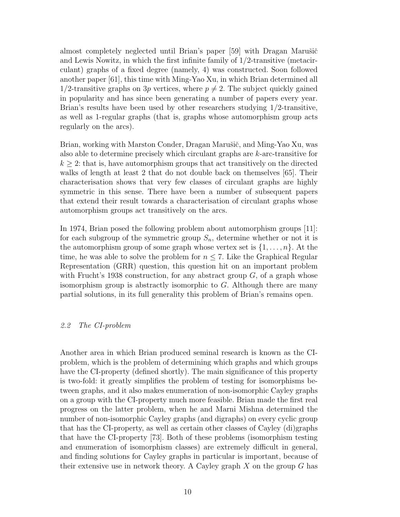almost completely neglected until Brian's paper [59] with Dragan Marušič and Lewis Nowitz, in which the first infinite family of 1/2-transitive (metacirculant) graphs of a fixed degree (namely, 4) was constructed. Soon followed another paper [61], this time with Ming-Yao Xu, in which Brian determined all 1/2-transitive graphs on 3p vertices, where  $p \neq 2$ . The subject quickly gained in popularity and has since been generating a number of papers every year. Brian's results have been used by other researchers studying 1/2-transitive, as well as 1-regular graphs (that is, graphs whose automorphism group acts regularly on the arcs).

Brian, working with Marston Conder, Dragan Marušič, and Ming-Yao Xu, was also able to determine precisely which circulant graphs are k-arc-transitive for  $k \geq 2$ : that is, have automorphism groups that act transitively on the directed walks of length at least 2 that do not double back on themselves [65]. Their characterisation shows that very few classes of circulant graphs are highly symmetric in this sense. There have been a number of subsequent papers that extend their result towards a characterisation of circulant graphs whose automorphism groups act transitively on the arcs.

In 1974, Brian posed the following problem about automorphism groups [11]: for each subgroup of the symmetric group  $S_n$ , determine whether or not it is the automorphism group of some graph whose vertex set is  $\{1, \ldots, n\}$ . At the time, he was able to solve the problem for  $n \leq 7$ . Like the Graphical Regular Representation (GRR) question, this question hit on an important problem with Frucht's 1938 construction, for any abstract group  $G$ , of a graph whose isomorphism group is abstractly isomorphic to G. Although there are many partial solutions, in its full generality this problem of Brian's remains open.

#### 2.2 The CI-problem

Another area in which Brian produced seminal research is known as the CIproblem, which is the problem of determining which graphs and which groups have the CI-property (defined shortly). The main significance of this property is two-fold: it greatly simplifies the problem of testing for isomorphisms between graphs, and it also makes enumeration of non-isomorphic Cayley graphs on a group with the CI-property much more feasible. Brian made the first real progress on the latter problem, when he and Marni Mishna determined the number of non-isomorphic Cayley graphs (and digraphs) on every cyclic group that has the CI-property, as well as certain other classes of Cayley (di)graphs that have the CI-property [73]. Both of these problems (isomorphism testing and enumeration of isomorphism classes) are extremely difficult in general, and finding solutions for Cayley graphs in particular is important, because of their extensive use in network theory. A Cayley graph  $X$  on the group  $G$  has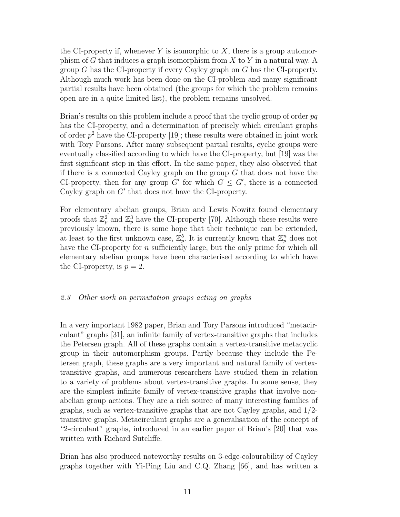the CI-property if, whenever Y is isomorphic to X, there is a group automorphism of G that induces a graph isomorphism from  $X$  to Y in a natural way. A group G has the CI-property if every Cayley graph on  $G$  has the CI-property. Although much work has been done on the CI-problem and many significant partial results have been obtained (the groups for which the problem remains open are in a quite limited list), the problem remains unsolved.

Brian's results on this problem include a proof that the cyclic group of order pq has the CI-property, and a determination of precisely which circulant graphs of order  $p^2$  have the CI-property [19]; these results were obtained in joint work with Tory Parsons. After many subsequent partial results, cyclic groups were eventually classified according to which have the CI-property, but [19] was the first significant step in this effort. In the same paper, they also observed that if there is a connected Cayley graph on the group  $G$  that does not have the CI-property, then for any group G' for which  $G \leq G'$ , there is a connected Cayley graph on  $G'$  that does not have the CI-property.

For elementary abelian groups, Brian and Lewis Nowitz found elementary proofs that  $\mathbb{Z}_p^2$  and  $\mathbb{Z}_p^3$  have the CI-property [70]. Although these results were previously known, there is some hope that their technique can be extended, at least to the first unknown case,  $\mathbb{Z}_p^5$ . It is currently known that  $\mathbb{Z}_p^n$  does not have the CI-property for *n* sufficiently large, but the only prime for which all elementary abelian groups have been characterised according to which have the CI-property, is  $p = 2$ .

#### 2.3 Other work on permutation groups acting on graphs

In a very important 1982 paper, Brian and Tory Parsons introduced "metacirculant" graphs [31], an infinite family of vertex-transitive graphs that includes the Petersen graph. All of these graphs contain a vertex-transitive metacyclic group in their automorphism groups. Partly because they include the Petersen graph, these graphs are a very important and natural family of vertextransitive graphs, and numerous researchers have studied them in relation to a variety of problems about vertex-transitive graphs. In some sense, they are the simplest infinite family of vertex-transitive graphs that involve nonabelian group actions. They are a rich source of many interesting families of graphs, such as vertex-transitive graphs that are not Cayley graphs, and 1/2 transitive graphs. Metacirculant graphs are a generalisation of the concept of "2-circulant" graphs, introduced in an earlier paper of Brian's [20] that was written with Richard Sutcliffe.

Brian has also produced noteworthy results on 3-edge-colourability of Cayley graphs together with Yi-Ping Liu and C.Q. Zhang [66], and has written a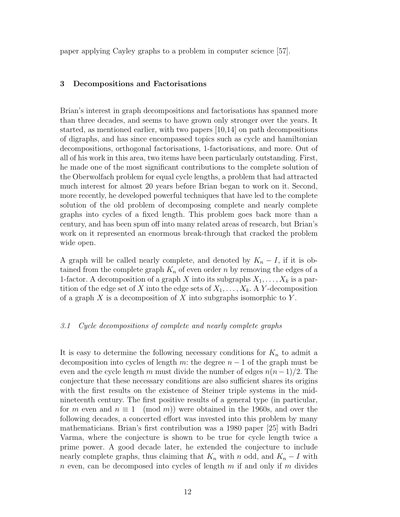paper applying Cayley graphs to a problem in computer science [57].

### 3 Decompositions and Factorisations

Brian's interest in graph decompositions and factorisations has spanned more than three decades, and seems to have grown only stronger over the years. It started, as mentioned earlier, with two papers [10,14] on path decompositions of digraphs, and has since encompassed topics such as cycle and hamiltonian decompositions, orthogonal factorisations, 1-factorisations, and more. Out of all of his work in this area, two items have been particularly outstanding. First, he made one of the most significant contributions to the complete solution of the Oberwolfach problem for equal cycle lengths, a problem that had attracted much interest for almost 20 years before Brian began to work on it. Second, more recently, he developed powerful techniques that have led to the complete solution of the old problem of decomposing complete and nearly complete graphs into cycles of a fixed length. This problem goes back more than a century, and has been spun off into many related areas of research, but Brian's work on it represented an enormous break-through that cracked the problem wide open.

A graph will be called nearly complete, and denoted by  $K_n - I$ , if it is obtained from the complete graph  $K_n$  of even order n by removing the edges of a 1-factor. A decomposition of a graph X into its subgraphs  $X_1, \ldots, X_k$  is a partition of the edge set of X into the edge sets of  $X_1, \ldots, X_k$ . A Y-decomposition of a graph X is a decomposition of X into subgraphs isomorphic to  $Y$ .

#### 3.1 Cycle decompositions of complete and nearly complete graphs

It is easy to determine the following necessary conditions for  $K_n$  to admit a decomposition into cycles of length m: the degree  $n-1$  of the graph must be even and the cycle length m must divide the number of edges  $n(n-1)/2$ . The conjecture that these necessary conditions are also sufficient shares its origins with the first results on the existence of Steiner triple systems in the midnineteenth century. The first positive results of a general type (in particular, for m even and  $n \equiv 1 \pmod{m}$  were obtained in the 1960s, and over the following decades, a concerted effort was invested into this problem by many mathematicians. Brian's first contribution was a 1980 paper [25] with Badri Varma, where the conjecture is shown to be true for cycle length twice a prime power. A good decade later, he extended the conjecture to include nearly complete graphs, thus claiming that  $K_n$  with n odd, and  $K_n - I$  with n even, can be decomposed into cycles of length  $m$  if and only if  $m$  divides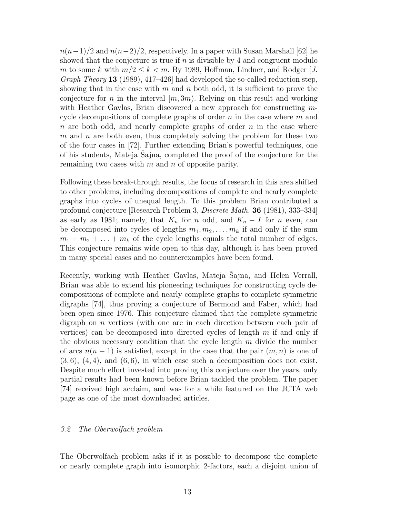$n(n-1)/2$  and  $n(n-2)/2$ , respectively. In a paper with Susan Marshall [62] he showed that the conjecture is true if  $n$  is divisible by 4 and congruent modulo m to some k with  $m/2 \leq k < m$ . By 1989, Hoffman, Lindner, and Rodger [J. Graph Theory 13 (1989), 417–426 had developed the so-called reduction step, showing that in the case with m and n both odd, it is sufficient to prove the conjecture for n in the interval  $[m, 3m]$ . Relying on this result and working with Heather Gavlas, Brian discovered a new approach for constructing mcycle decompositions of complete graphs of order n in the case where  $m$  and  $n$  are both odd, and nearly complete graphs of order  $n$  in the case where  $m$  and  $n$  are both even, thus completely solving the problem for these two of the four cases in [72]. Further extending Brian's powerful techniques, one of his students, Mateja Sajna, completed the proof of the conjecture for the remaining two cases with  $m$  and  $n$  of opposite parity.

Following these break-through results, the focus of research in this area shifted to other problems, including decompositions of complete and nearly complete graphs into cycles of unequal length. To this problem Brian contributed a profound conjecture [Research Problem 3, Discrete Math. 36 (1981), 333–334] as early as 1981; namely, that  $K_n$  for n odd, and  $K_n - I$  for n even, can be decomposed into cycles of lengths  $m_1, m_2, \ldots, m_k$  if and only if the sum  $m_1 + m_2 + \ldots + m_k$  of the cycle lengths equals the total number of edges. This conjecture remains wide open to this day, although it has been proved in many special cases and no counterexamples have been found.

Recently, working with Heather Gavlas, Mateja Sajna, and Helen Verrall, Brian was able to extend his pioneering techniques for constructing cycle decompositions of complete and nearly complete graphs to complete symmetric digraphs [74], thus proving a conjecture of Bermond and Faber, which had been open since 1976. This conjecture claimed that the complete symmetric digraph on  $n$  vertices (with one arc in each direction between each pair of vertices) can be decomposed into directed cycles of length  $m$  if and only if the obvious necessary condition that the cycle length  $m$  divide the number of arcs  $n(n-1)$  is satisfied, except in the case that the pair  $(m, n)$  is one of  $(3, 6)$ ,  $(4, 4)$ , and  $(6, 6)$ , in which case such a decomposition does not exist. Despite much effort invested into proving this conjecture over the years, only partial results had been known before Brian tackled the problem. The paper [74] received high acclaim, and was for a while featured on the JCTA web page as one of the most downloaded articles.

#### 3.2 The Oberwolfach problem

The Oberwolfach problem asks if it is possible to decompose the complete or nearly complete graph into isomorphic 2-factors, each a disjoint union of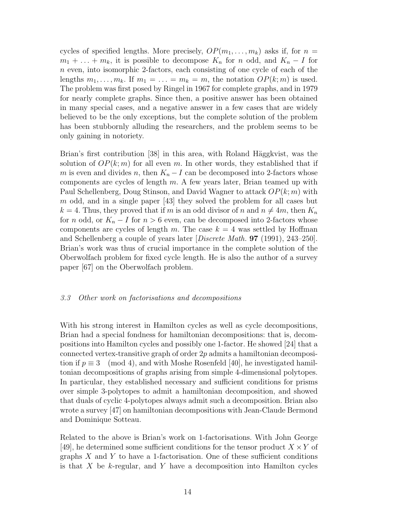cycles of specified lengths. More precisely,  $OP(m_1, \ldots, m_k)$  asks if, for  $n =$  $m_1 + \ldots + m_k$ , it is possible to decompose  $K_n$  for n odd, and  $K_n - I$  for n even, into isomorphic 2-factors, each consisting of one cycle of each of the lengths  $m_1, \ldots, m_k$ . If  $m_1 = \ldots = m_k = m$ , the notation  $OP(k; m)$  is used. The problem was first posed by Ringel in 1967 for complete graphs, and in 1979 for nearly complete graphs. Since then, a positive answer has been obtained in many special cases, and a negative answer in a few cases that are widely believed to be the only exceptions, but the complete solution of the problem has been stubbornly alluding the researchers, and the problem seems to be only gaining in notoriety.

Brian's first contribution [38] in this area, with Roland Häggkvist, was the solution of  $OP(k; m)$  for all even m. In other words, they established that if m is even and divides n, then  $K_n - I$  can be decomposed into 2-factors whose components are cycles of length  $m$ . A few years later, Brian teamed up with Paul Schellenberg, Doug Stinson, and David Wagner to attack  $OP(k; m)$  with m odd, and in a single paper  $[43]$  they solved the problem for all cases but  $k = 4$ . Thus, they proved that if m is an odd divisor of n and  $n \neq 4m$ , then  $K_n$ for n odd, or  $K_n - I$  for  $n > 6$  even, can be decomposed into 2-factors whose components are cycles of length m. The case  $k = 4$  was settled by Hoffman and Schellenberg a couple of years later  $[Discrete Math. 97 (1991), 243-250].$ Brian's work was thus of crucial importance in the complete solution of the Oberwolfach problem for fixed cycle length. He is also the author of a survey paper [67] on the Oberwolfach problem.

#### 3.3 Other work on factorisations and decompositions

With his strong interest in Hamilton cycles as well as cycle decompositions, Brian had a special fondness for hamiltonian decompositions: that is, decompositions into Hamilton cycles and possibly one 1-factor. He showed [24] that a connected vertex-transitive graph of order 2p admits a hamiltonian decomposition if  $p \equiv 3 \pmod{4}$ , and with Moshe Rosenfeld [40], he investigated hamiltonian decompositions of graphs arising from simple 4-dimensional polytopes. In particular, they established necessary and sufficient conditions for prisms over simple 3-polytopes to admit a hamiltonian decomposition, and showed that duals of cyclic 4-polytopes always admit such a decomposition. Brian also wrote a survey [47] on hamiltonian decompositions with Jean-Claude Bermond and Dominique Sotteau.

Related to the above is Brian's work on 1-factorisations. With John George [49], he determined some sufficient conditions for the tensor product  $X \times Y$  of graphs  $X$  and  $Y$  to have a 1-factorisation. One of these sufficient conditions is that  $X$  be k-regular, and Y have a decomposition into Hamilton cycles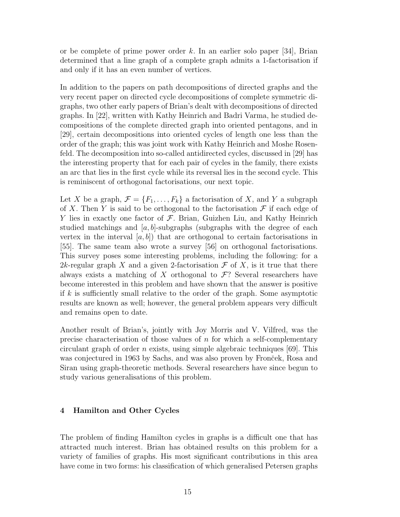or be complete of prime power order k. In an earlier solo paper  $[34]$ , Brian determined that a line graph of a complete graph admits a 1-factorisation if and only if it has an even number of vertices.

In addition to the papers on path decompositions of directed graphs and the very recent paper on directed cycle decompositions of complete symmetric digraphs, two other early papers of Brian's dealt with decompositions of directed graphs. In [22], written with Kathy Heinrich and Badri Varma, he studied decompositions of the complete directed graph into oriented pentagons, and in [29], certain decompositions into oriented cycles of length one less than the order of the graph; this was joint work with Kathy Heinrich and Moshe Rosenfeld. The decomposition into so-called antidirected cycles, discussed in [29] has the interesting property that for each pair of cycles in the family, there exists an arc that lies in the first cycle while its reversal lies in the second cycle. This is reminiscent of orthogonal factorisations, our next topic.

Let X be a graph,  $\mathcal{F} = \{F_1, \ldots, F_k\}$  a factorisation of X, and Y a subgraph of X. Then Y is said to be orthogonal to the factorisation  $\mathcal F$  if each edge of Y lies in exactly one factor of  $\mathcal F$ . Brian, Guizhen Liu, and Kathy Heinrich studied matchings and  $[a, b]$ -subgraphs (subgraphs with the degree of each vertex in the interval  $[a, b]$  that are orthogonal to certain factorisations in [55]. The same team also wrote a survey [56] on orthogonal factorisations. This survey poses some interesting problems, including the following: for a 2k-regular graph X and a given 2-factorisation  $\mathcal F$  of X, is it true that there always exists a matching of X orthogonal to  $\mathcal{F}$ ? Several researchers have become interested in this problem and have shown that the answer is positive if  $k$  is sufficiently small relative to the order of the graph. Some asymptotic results are known as well; however, the general problem appears very difficult and remains open to date.

Another result of Brian's, jointly with Joy Morris and V. Vilfred, was the precise characterisation of those values of  $n$  for which a self-complementary circulant graph of order *n* exists, using simple algebraic techniques  $[69]$ . This was conjectured in 1963 by Sachs, and was also proven by Fronček, Rosa and Siran using graph-theoretic methods. Several researchers have since begun to study various generalisations of this problem.

# 4 Hamilton and Other Cycles

The problem of finding Hamilton cycles in graphs is a difficult one that has attracted much interest. Brian has obtained results on this problem for a variety of families of graphs. His most significant contributions in this area have come in two forms: his classification of which generalised Petersen graphs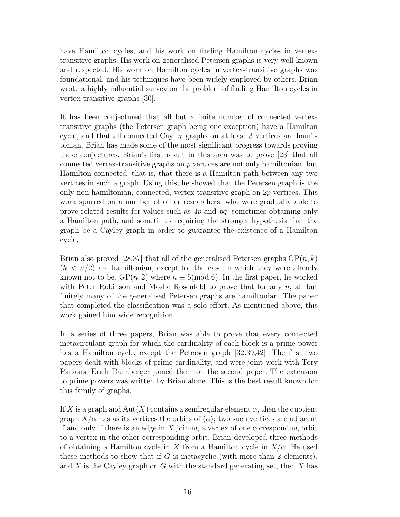have Hamilton cycles, and his work on finding Hamilton cycles in vertextransitive graphs. His work on generalised Petersen graphs is very well-known and respected. His work on Hamilton cycles in vertex-transitive graphs was foundational, and his techniques have been widely employed by others. Brian wrote a highly influential survey on the problem of finding Hamilton cycles in vertex-transitive graphs [30].

It has been conjectured that all but a finite number of connected vertextransitive graphs (the Petersen graph being one exception) have a Hamilton cycle, and that all connected Cayley graphs on at least 3 vertices are hamiltonian. Brian has made some of the most significant progress towards proving these conjectures. Brian's first result in this area was to prove [23] that all connected vertex-transitive graphs on p vertices are not only hamiltonian, but Hamilton-connected: that is, that there is a Hamilton path between any two vertices in such a graph. Using this, he showed that the Petersen graph is the only non-hamiltonian, connected, vertex-transitive graph on  $2p$  vertices. This work spurred on a number of other researchers, who were gradually able to prove related results for values such as 4p and pq, sometimes obtaining only a Hamilton path, and sometimes requiring the stronger hypothesis that the graph be a Cayley graph in order to guarantee the existence of a Hamilton cycle.

Brian also proved [28,37] that all of the generalised Petersen graphs  $\mathbb{G}P(n,k)$  $(k < n/2)$  are hamiltonian, except for the case in which they were already known not to be,  $\text{GP}(n, 2)$  where  $n \equiv 5 \pmod{6}$ . In the first paper, he worked with Peter Robinson and Moshe Rosenfeld to prove that for any  $n$ , all but finitely many of the generalised Petersen graphs are hamiltonian. The paper that completed the classification was a solo effort. As mentioned above, this work gained him wide recognition.

In a series of three papers, Brian was able to prove that every connected metacirculant graph for which the cardinality of each block is a prime power has a Hamilton cycle, except the Petersen graph [32,39,42]. The first two papers dealt with blocks of prime cardinality, and were joint work with Tory Parsons; Erich Durnberger joined them on the second paper. The extension to prime powers was written by Brian alone. This is the best result known for this family of graphs.

If X is a graph and  $\text{Aut}(X)$  contains a semiregular element  $\alpha$ , then the quotient graph  $X/\alpha$  has as its vertices the orbits of  $\langle \alpha \rangle$ ; two such vertices are adjacent if and only if there is an edge in  $X$  joining a vertex of one corresponding orbit to a vertex in the other corresponding orbit. Brian developed three methods of obtaining a Hamilton cycle in X from a Hamilton cycle in  $X/\alpha$ . He used these methods to show that if G is metacyclic (with more than 2 elements), and X is the Cayley graph on G with the standard generating set, then X has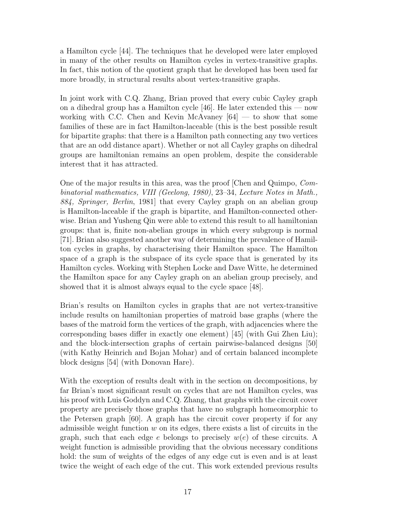a Hamilton cycle [44]. The techniques that he developed were later employed in many of the other results on Hamilton cycles in vertex-transitive graphs. In fact, this notion of the quotient graph that he developed has been used far more broadly, in structural results about vertex-transitive graphs.

In joint work with C.Q. Zhang, Brian proved that every cubic Cayley graph on a dihedral group has a Hamilton cycle [46]. He later extended this — now working with C.C. Chen and Kevin McAvaney  $|64|$  — to show that some families of these are in fact Hamilton-laceable (this is the best possible result for bipartite graphs: that there is a Hamilton path connecting any two vertices that are an odd distance apart). Whether or not all Cayley graphs on dihedral groups are hamiltonian remains an open problem, despite the considerable interest that it has attracted.

One of the major results in this area, was the proof [Chen and Quimpo, Combinatorial mathematics, VIII (Geelong, 1980), 23–34, Lecture Notes in Math., 884, Springer, Berlin, 1981] that every Cayley graph on an abelian group is Hamilton-laceable if the graph is bipartite, and Hamilton-connected otherwise. Brian and Yusheng Qin were able to extend this result to all hamiltonian groups: that is, finite non-abelian groups in which every subgroup is normal [71]. Brian also suggested another way of determining the prevalence of Hamilton cycles in graphs, by characterising their Hamilton space. The Hamilton space of a graph is the subspace of its cycle space that is generated by its Hamilton cycles. Working with Stephen Locke and Dave Witte, he determined the Hamilton space for any Cayley graph on an abelian group precisely, and showed that it is almost always equal to the cycle space [48].

Brian's results on Hamilton cycles in graphs that are not vertex-transitive include results on hamiltonian properties of matroid base graphs (where the bases of the matroid form the vertices of the graph, with adjacencies where the corresponding bases differ in exactly one element) [45] (with Gui Zhen Liu); and the block-intersection graphs of certain pairwise-balanced designs [50] (with Kathy Heinrich and Bojan Mohar) and of certain balanced incomplete block designs [54] (with Donovan Hare).

With the exception of results dealt with in the section on decompositions, by far Brian's most significant result on cycles that are not Hamilton cycles, was his proof with Luis Goddyn and C.Q. Zhang, that graphs with the circuit cover property are precisely those graphs that have no subgraph homeomorphic to the Petersen graph [60]. A graph has the circuit cover property if for any admissible weight function  $w$  on its edges, there exists a list of circuits in the graph, such that each edge e belongs to precisely  $w(e)$  of these circuits. A weight function is admissible providing that the obvious necessary conditions hold: the sum of weights of the edges of any edge cut is even and is at least twice the weight of each edge of the cut. This work extended previous results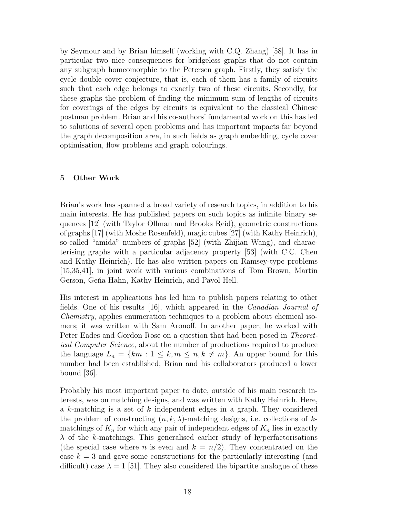by Seymour and by Brian himself (working with C.Q. Zhang) [58]. It has in particular two nice consequences for bridgeless graphs that do not contain any subgraph homeomorphic to the Petersen graph. Firstly, they satisfy the cycle double cover conjecture, that is, each of them has a family of circuits such that each edge belongs to exactly two of these circuits. Secondly, for these graphs the problem of finding the minimum sum of lengths of circuits for coverings of the edges by circuits is equivalent to the classical Chinese postman problem. Brian and his co-authors' fundamental work on this has led to solutions of several open problems and has important impacts far beyond the graph decomposition area, in such fields as graph embedding, cycle cover optimisation, flow problems and graph colourings.

#### 5 Other Work

Brian's work has spanned a broad variety of research topics, in addition to his main interests. He has published papers on such topics as infinite binary sequences [12] (with Taylor Ollman and Brooks Reid), geometric constructions of graphs [17] (with Moshe Rosenfeld), magic cubes [27] (with Kathy Heinrich), so-called "amida" numbers of graphs [52] (with Zhijian Wang), and characterising graphs with a particular adjacency property [53] (with C.C. Chen and Kathy Heinrich). He has also written papers on Ramsey-type problems [15,35,41], in joint work with various combinations of Tom Brown, Martin Gerson, Geňa Hahn, Kathy Heinrich, and Pavol Hell.

His interest in applications has led him to publish papers relating to other fields. One of his results [16], which appeared in the Canadian Journal of Chemistry, applies enumeration techniques to a problem about chemical isomers; it was written with Sam Aronoff. In another paper, he worked with Peter Eades and Gordon Rose on a question that had been posed in Theoretical Computer Science, about the number of productions required to produce the language  $L_n = \{km : 1 \leq k, m \leq n, k \neq m\}$ . An upper bound for this number had been established; Brian and his collaborators produced a lower bound [36].

Probably his most important paper to date, outside of his main research interests, was on matching designs, and was written with Kathy Heinrich. Here, a k-matching is a set of k independent edges in a graph. They considered the problem of constructing  $(n, k, \lambda)$ -matching designs, i.e. collections of kmatchings of  $K_n$  for which any pair of independent edges of  $K_n$  lies in exactly  $\lambda$  of the k-matchings. This generalised earlier study of hyperfactorisations (the special case where n is even and  $k = n/2$ ). They concentrated on the case  $k = 3$  and gave some constructions for the particularly interesting (and difficult) case  $\lambda = 1$  [51]. They also considered the bipartite analogue of these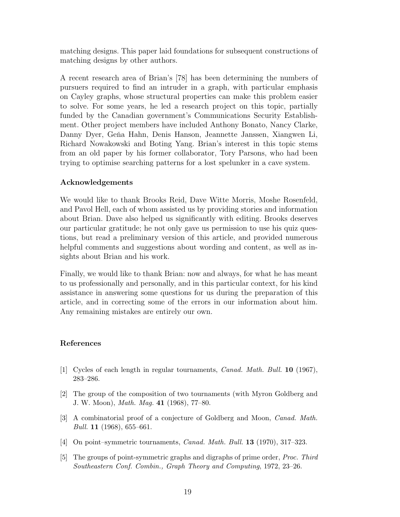matching designs. This paper laid foundations for subsequent constructions of matching designs by other authors.

A recent research area of Brian's [78] has been determining the numbers of pursuers required to find an intruder in a graph, with particular emphasis on Cayley graphs, whose structural properties can make this problem easier to solve. For some years, he led a research project on this topic, partially funded by the Canadian government's Communications Security Establishment. Other project members have included Anthony Bonato, Nancy Clarke, Danny Dyer, Geňa Hahn, Denis Hanson, Jeannette Janssen, Xiangwen Li, Richard Nowakowski and Boting Yang. Brian's interest in this topic stems from an old paper by his former collaborator, Tory Parsons, who had been trying to optimise searching patterns for a lost spelunker in a cave system.

# Acknowledgements

We would like to thank Brooks Reid, Dave Witte Morris, Moshe Rosenfeld, and Pavol Hell, each of whom assisted us by providing stories and information about Brian. Dave also helped us significantly with editing. Brooks deserves our particular gratitude; he not only gave us permission to use his quiz questions, but read a preliminary version of this article, and provided numerous helpful comments and suggestions about wording and content, as well as insights about Brian and his work.

Finally, we would like to thank Brian: now and always, for what he has meant to us professionally and personally, and in this particular context, for his kind assistance in answering some questions for us during the preparation of this article, and in correcting some of the errors in our information about him. Any remaining mistakes are entirely our own.

# References

- [1] Cycles of each length in regular tournaments, Canad. Math. Bull. 10 (1967), 283–286.
- [2] The group of the composition of two tournaments (with Myron Goldberg and J. W. Moon), Math. Mag. 41 (1968), 77–80.
- [3] A combinatorial proof of a conjecture of Goldberg and Moon, Canad. Math. Bull. 11 (1968), 655–661.
- [4] On point–symmetric tournaments, Canad. Math. Bull. 13 (1970), 317–323.
- [5] The groups of point-symmetric graphs and digraphs of prime order, Proc. Third Southeastern Conf. Combin., Graph Theory and Computing, 1972, 23–26.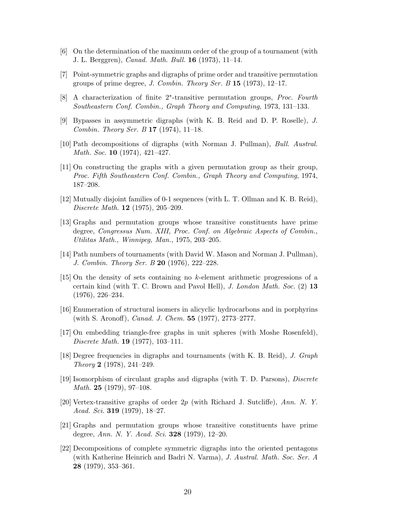- [6] On the determination of the maximum order of the group of a tournament (with J. L. Berggren), Canad. Math. Bull. 16 (1973), 11–14.
- [7] Point-symmetric graphs and digraphs of prime order and transitive permutation groups of prime degree, J. Combin. Theory Ser. B 15 (1973), 12–17.
- [8] A characterization of finite 2<sup>\*</sup>-transitive permutation groups, Proc. Fourth Southeastern Conf. Combin., Graph Theory and Computing, 1973, 131–133.
- [9] Bypasses in assymmetric digraphs (with K. B. Reid and D. P. Roselle), J. Combin. Theory Ser. B 17 (1974), 11–18.
- [10] Path decompositions of digraphs (with Norman J. Pullman), Bull. Austral. Math. Soc. 10 (1974), 421–427.
- [11] On constructing the graphs with a given permutation group as their group, Proc. Fifth Southeastern Conf. Combin., Graph Theory and Computing, 1974, 187–208.
- [12] Mutually disjoint families of 0-1 sequences (with L. T. Ollman and K. B. Reid), Discrete Math. 12 (1975), 205–209.
- [13] Graphs and permutation groups whose transitive constituents have prime degree, Congressus Num. XIII, Proc. Conf. on Algebraic Aspects of Combin., Utilitas Math., Winnipeg, Man., 1975, 203–205.
- [14] Path numbers of tournaments (with David W. Mason and Norman J. Pullman), J. Combin. Theory Ser. B 20 (1976), 222–228.
- [15] On the density of sets containing no k-element arithmetic progressions of a certain kind (with T. C. Brown and Pavol Hell), J. London Math. Soc. (2) 13 (1976), 226–234.
- [16] Enumeration of structural isomers in alicyclic hydrocarbons and in porphyrins (with S. Aronoff), Canad. J. Chem. 55 (1977), 2773–2777.
- [17] On embedding triangle-free graphs in unit spheres (with Moshe Rosenfeld), Discrete Math. 19 (1977), 103–111.
- [18] Degree frequencies in digraphs and tournaments (with K. B. Reid), J. Graph Theory 2 (1978), 241–249.
- [19] Isomorphism of circulant graphs and digraphs (with T. D. Parsons), Discrete *Math.* **25** (1979), 97–108.
- [20] Vertex-transitive graphs of order 2p (with Richard J. Sutcliffe), Ann. N. Y. Acad. Sci. 319 (1979), 18–27.
- [21] Graphs and permutation groups whose transitive constituents have prime degree, Ann. N. Y. Acad. Sci. **328** (1979), 12-20.
- [22] Decompositions of complete symmetric digraphs into the oriented pentagons (with Katherine Heinrich and Badri N. Varma), J. Austral. Math. Soc. Ser. A 28 (1979), 353–361.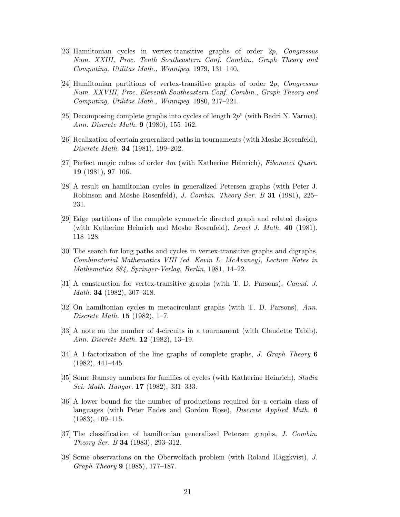- [23] Hamiltonian cycles in vertex-transitive graphs of order 2p, Congressus Num. XXIII, Proc. Tenth Southeastern Conf. Combin., Graph Theory and Computing, Utilitas Math., Winnipeg, 1979, 131–140.
- [24] Hamiltonian partitions of vertex-transitive graphs of order 2p, Congressus Num. XXVIII, Proc. Eleventh Southeastern Conf. Combin., Graph Theory and Computing, Utilitas Math., Winnipeg, 1980, 217–221.
- [25] Decomposing complete graphs into cycles of length  $2p^e$  (with Badri N. Varma), Ann. Discrete Math. 9 (1980), 155–162.
- [26] Realization of certain generalized paths in tournaments (with Moshe Rosenfeld), Discrete Math. 34 (1981), 199–202.
- [27] Perfect magic cubes of order 4m (with Katherine Heinrich), Fibonacci Quart. 19 (1981), 97–106.
- [28] A result on hamiltonian cycles in generalized Petersen graphs (with Peter J. Robinson and Moshe Rosenfeld), J. Combin. Theory Ser. B 31 (1981), 225– 231.
- [29] Edge partitions of the complete symmetric directed graph and related designs (with Katherine Heinrich and Moshe Rosenfeld), Israel J. Math. 40 (1981), 118–128.
- [30] The search for long paths and cycles in vertex-transitive graphs and digraphs, Combinatorial Mathematics VIII (ed. Kevin L. McAvaney), Lecture Notes in Mathematics 884, Springer-Verlag, Berlin, 1981, 14–22.
- [31] A construction for vertex-transitive graphs (with T. D. Parsons), Canad. J. Math. 34 (1982), 307–318.
- [32] On hamiltonian cycles in metacirculant graphs (with T. D. Parsons), Ann. Discrete Math. 15 (1982), 1–7.
- [33] A note on the number of 4-circuits in a tournament (with Claudette Tabib), Ann. Discrete Math. 12 (1982), 13–19.
- [34] A 1-factorization of the line graphs of complete graphs, J. Graph Theory 6 (1982), 441–445.
- [35] Some Ramsey numbers for families of cycles (with Katherine Heinrich), Studia Sci. Math. Hungar. 17 (1982), 331–333.
- [36] A lower bound for the number of productions required for a certain class of languages (with Peter Eades and Gordon Rose), *Discrete Applied Math.* 6 (1983), 109–115.
- [37] The classification of hamiltonian generalized Petersen graphs, J. Combin. Theory Ser. B 34 (1983), 293–312.
- [38] Some observations on the Oberwolfach problem (with Roland Häggkvist),  $J$ . Graph Theory 9 (1985), 177–187.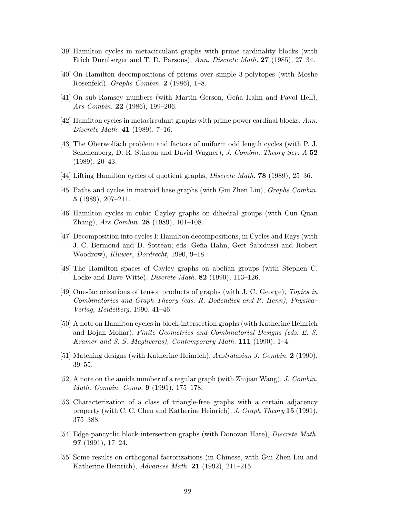- [39] Hamilton cycles in metacirculant graphs with prime cardinality blocks (with Erich Durnberger and T. D. Parsons), Ann. Discrete Math. 27 (1985), 27–34.
- [40] On Hamilton decompositions of prisms over simple 3-polytopes (with Moshe Rosenfeld), Graphs Combin. 2 (1986), 1–8.
- [41] On sub-Ramsey numbers (with Martin Gerson, Geňa Hahn and Pavol Hell), Ars Combin. 22 (1986), 199–206.
- [42] Hamilton cycles in metacirculant graphs with prime power cardinal blocks, Ann. Discrete Math. 41 (1989), 7–16.
- [43] The Oberwolfach problem and factors of uniform odd length cycles (with P. J. Schellenberg, D. R. Stinson and David Wagner), J. Combin. Theory Ser. A 52 (1989), 20–43.
- [44] Lifting Hamilton cycles of quotient graphs, Discrete Math. 78 (1989), 25–36.
- [45] Paths and cycles in matroid base graphs (with Gui Zhen Liu), Graphs Combin. 5 (1989), 207–211.
- [46] Hamilton cycles in cubic Cayley graphs on dihedral groups (with Cun Quan Zhang), Ars Combin. 28 (1989), 101–108.
- [47] Decomposition into cycles I: Hamilton decompositions, in Cycles and Rays (with J.-C. Bermond and D. Sotteau; eds. Geña Hahn, Gert Sabidussi and Robert Woodrow), Kluwer, Dordrecht, 1990, 9–18.
- [48] The Hamilton spaces of Cayley graphs on abelian groups (with Stephen C. Locke and Dave Witte), *Discrete Math.* **82** (1990), 113–126.
- [49] One-factorizations of tensor products of graphs (with J. C. George), Topics in Combinatorics and Graph Theory (eds. R. Bodendiek and R. Henn), Physica– Verlag, Heidelberg, 1990, 41–46.
- [50] A note on Hamilton cycles in block-intersection graphs (with Katherine Heinrich and Bojan Mohar), Finite Geometries and Combinatorial Designs (eds. E. S. Kramer and S. S. Magliveras), Contemporary Math. 111 (1990), 1–4.
- [51] Matching designs (with Katherine Heinrich), Australasian J. Combin. 2 (1990), 39–55.
- [52] A note on the amida number of a regular graph (with Zhijian Wang), J. Combin. Math. Combin. Comp. 9 (1991), 175–178.
- [53] Characterization of a class of triangle-free graphs with a certain adjacency property (with C. C. Chen and Katherine Heinrich), J. Graph Theory 15 (1991), 375–388.
- [54] Edge-pancyclic block-intersection graphs (with Donovan Hare), Discrete Math. 97 (1991), 17–24.
- [55] Some results on orthogonal factorizations (in Chinese, with Gui Zhen Liu and Katherine Heinrich), Advances Math. 21 (1992), 211–215.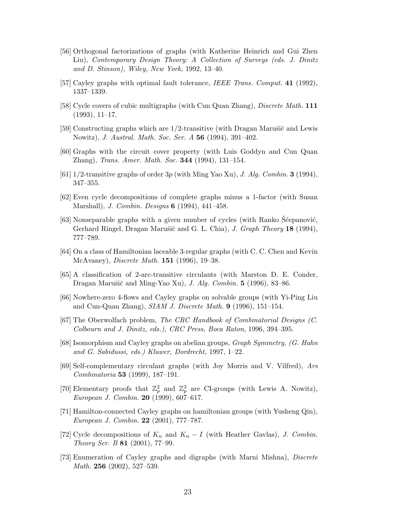- [56] Orthogonal factorizations of graphs (with Katherine Heinrich and Gui Zhen Liu), Contemporary Design Theory: A Collection of Surveys (eds. J. Dinitz and D. Stinson), Wiley, New York, 1992, 13–40.
- [57] Cayley graphs with optimal fault tolerance, IEEE Trans. Comput. 41 (1992), 1337–1339.
- [58] Cycle covers of cubic multigraphs (with Cun Quan Zhang), Discrete Math. 111 (1993), 11–17.
- [59] Constructing graphs which are  $1/2$ -transitive (with Dragan Marušič and Lewis Nowitz), J. Austral. Math. Soc. Ser. A 56 (1994), 391–402.
- [60] Graphs with the circuit cover property (with Luis Goddyn and Cun Quan Zhang), Trans. Amer. Math. Soc. 344 (1994), 131–154.
- [61]  $1/2$ -transitive graphs of order  $3p$  (with Ming Yao Xu), *J. Alg. Combin.* **3** (1994), 347–355.
- [62] Even cycle decompositions of complete graphs minus a 1-factor (with Susan Marshall), J. Combin. Designs 6 (1994), 441–458.
- $[63]$  Nonseparable graphs with a given number of cycles (with Ranko S $\acute{c}$ epanovi $\acute{c}$ , Gerhard Ringel, Dragan Marušič and G. L. Chia), J. Graph Theory 18 (1994), 777–789.
- [64] On a class of Hamiltonian laceable 3-regular graphs (with C. C. Chen and Kevin McAvaney), Discrete Math. 151 (1996), 19–38.
- [65] A classification of 2-arc-transitive circulants (with Marston D. E. Conder, Dragan Marušič and Ming-Yao Xu), J. Alg. Combin. 5 (1996), 83-86.
- [66] Nowhere-zero 4-flows and Cayley graphs on solvable groups (with Yi-Ping Liu and Cun-Quan Zhang),  $SIAM$  J. Discrete Math. 9 (1996), 151–154.
- [67] The Oberwolfach problem, The CRC Handbook of Combinatorial Designs (C. Colbourn and J. Dinitz, eds.), CRC Press, Boca Raton, 1996, 394–395.
- [68] Isomorphism and Cayley graphs on abelian groups, Graph Symmetry, (G. Hahn and G. Sabidussi, eds.) Kluwer, Dordrecht, 1997, 1–22.
- [69] Self-complementary circulant graphs (with Joy Morris and V. Vilfred), Ars Combinatoria 53 (1999), 187–191.
- [70] Elementary proofs that  $\mathbb{Z}_p^2$  and  $\mathbb{Z}_p^3$  are CI-groups (with Lewis A. Nowitz), European J. Combin. 20 (1999), 607–617.
- [71] Hamilton-connected Cayley graphs on hamiltonian groups (with Yusheng Qin), European J. Combin. 22 (2001), 777–787.
- [72] Cycle decompositions of  $K_n$  and  $K_n I$  (with Heather Gavlas), J. Combin. Theory Ser. B 81 (2001), 77–99.
- [73] Enumeration of Cayley graphs and digraphs (with Marni Mishna), Discrete Math. **256** (2002), 527-539.